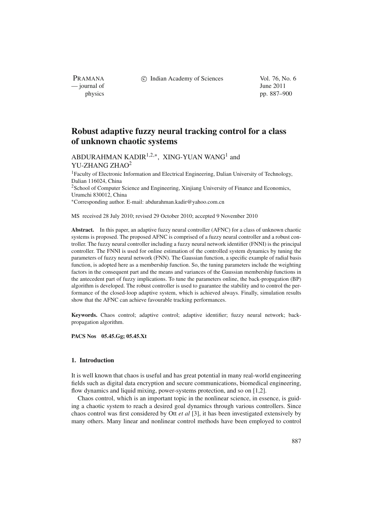c Indian Academy of Sciences Vol. 76, No. 6

physics pp. 887–900

PRAMANA — journal of June 2011

# **Robust adaptive fuzzy neural tracking control for a class of unknown chaotic systems**

## ABDURAHMAN KADIR<sup>1,2,\*</sup>, XING-YUAN WANG<sup>1</sup> and YU-ZHANG ZHAO<sup>2</sup>

<sup>1</sup>Faculty of Electronic Information and Electrical Engineering, Dalian University of Technology, Dalian 116024, China 2School of Computer Science and Engineering, Xinjiang University of Finance and Economics, Urumchi 830012, China <sup>∗</sup>Corresponding author. E-mail: abdurahman.kadir@yahoo.com.cn

MS received 28 July 2010; revised 29 October 2010; accepted 9 November 2010

**Abstract.** In this paper, an adaptive fuzzy neural controller (AFNC) for a class of unknown chaotic systems is proposed. The proposed AFNC is comprised of a fuzzy neural controller and a robust controller. The fuzzy neural controller including a fuzzy neural network identifier (FNNI) is the principal controller. The FNNI is used for online estimation of the controlled system dynamics by tuning the parameters of fuzzy neural network (FNN). The Gaussian function, a specific example of radial basis function, is adopted here as a membership function. So, the tuning parameters include the weighting factors in the consequent part and the means and variances of the Gaussian membership functions in the antecedent part of fuzzy implications. To tune the parameters online, the back-propagation (BP) algorithm is developed. The robust controller is used to guarantee the stability and to control the performance of the closed-loop adaptive system, which is achieved always. Finally, simulation results show that the AFNC can achieve favourable tracking performances.

**Keywords.** Chaos control; adaptive control; adaptive identifier; fuzzy neural network; backpropagation algorithm.

**PACS Nos 05.45.Gg; 05.45.Xt**

## **1. Introduction**

It is well known that chaos is useful and has great potential in many real-world engineering fields such as digital data encryption and secure communications, biomedical engineering, flow dynamics and liquid mixing, power-systems protection, and so on [1,2].

Chaos control, which is an important topic in the nonlinear science, in essence, is guiding a chaotic system to reach a desired goal dynamics through various controllers. Since chaos control was first considered by Ott *et al* [3], it has been investigated extensively by many others. Many linear and nonlinear control methods have been employed to control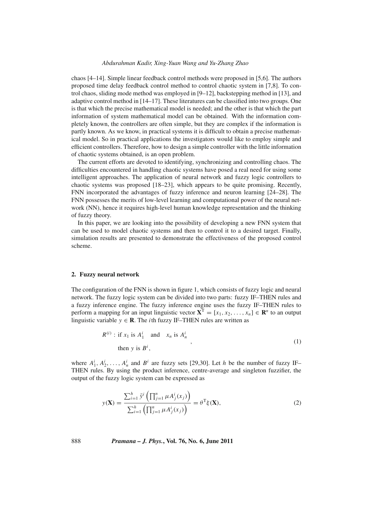#### *Abdurahman Kadir, Xing-Yuan Wang and Yu-Zhang Zhao*

chaos [4–14]. Simple linear feedback control methods were proposed in [5,6]. The authors proposed time delay feedback control method to control chaotic system in [7,8]. To control chaos, sliding mode method was employed in [9–12], backstepping method in [13], and adaptive control method in [14–17]. These literatures can be classified into two groups. One is that which the precise mathematical model is needed; and the other is that which the part information of system mathematical model can be obtained. With the information completely known, the controllers are often simple, but they are complex if the information is partly known. As we know, in practical systems it is difficult to obtain a precise mathematical model. So in practical applications the investigators would like to employ simple and efficient controllers. Therefore, how to design a simple controller with the little information of chaotic systems obtained, is an open problem.

The current efforts are devoted to identifying, synchronizing and controlling chaos. The difficulties encountered in handling chaotic systems have posed a real need for using some intelligent approaches. The application of neural network and fuzzy logic controllers to chaotic systems was proposed [18–23], which appears to be quite promising. Recently, FNN incorporated the advantages of fuzzy inference and neuron learning [24–28]. The FNN possesses the merits of low-level learning and computational power of the neural network (NN), hence it requires high-level human knowledge representation and the thinking of fuzzy theory.

In this paper, we are looking into the possibility of developing a new FNN system that can be used to model chaotic systems and then to control it to a desired target. Finally, simulation results are presented to demonstrate the effectiveness of the proposed control scheme.

### **2. Fuzzy neural network**

The configuration of the FNN is shown in figure 1, which consists of fuzzy logic and neural network. The fuzzy logic system can be divided into two parts: fuzzy IF–THEN rules and a fuzzy inference engine. The fuzzy inference engine uses the fuzzy IF–THEN rules to perform a mapping for an input linguistic vector  $X^T = [x_1, x_2, ..., x_n] \in \mathbb{R}^n$  to an output linguistic variable  $y \in \mathbb{R}$ . The *i*th fuzzy IF–THEN rules are written as

$$
R^{(i)}: \text{ if } x_1 \text{ is } A_1^i \text{ and } x_n \text{ is } A_n^i,
$$
  
then y is  $B^i$ , (1)

where  $A_1^i, A_2^i, \ldots, A_n^i$  and  $B^i$  are fuzzy sets [29,30]. Let *h* be the number of fuzzy IF– THEN rules. By using the product inference, centre-average and singleton fuzzifier, the output of the fuzzy logic system can be expressed as

$$
y(\mathbf{X}) = \frac{\sum_{i=1}^{h} \bar{y}^{i} \left( \prod_{j=1}^{n} \mu A_{j}^{i}(x_{j}) \right)}{\sum_{i=1}^{h} \left( \prod_{j=1}^{n} \mu A_{j}^{i}(x_{j}) \right)} = \theta^{T} \xi(\mathbf{X}),
$$
\n(2)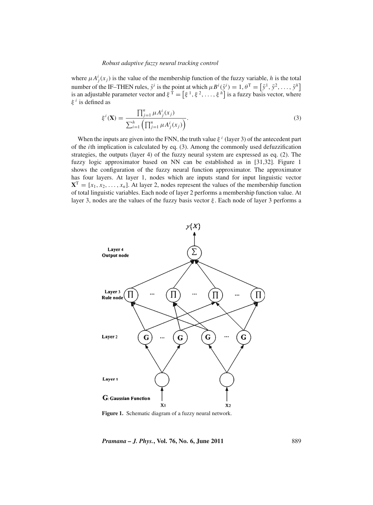where  $\mu A_j^i(x_j)$  is the value of the membership function of the fuzzy variable, *h* is the total number of the IF–THEN rules,  $\bar{y}^i$  is the point at which  $\mu B^i(\bar{y}^i) = 1, \theta^T = [\bar{y}^1, \bar{y}^2, \dots, \bar{y}^h]$ is an adjustable parameter vector and  $\xi^T = [\xi^1, \xi^2, \dots, \xi^h]$  is a fuzzy basis vector, where ξ *<sup>i</sup>* is defined as

$$
\xi^{i}(\mathbf{X}) = \frac{\prod_{j=1}^{n} \mu A_{j}^{i}(x_{j})}{\sum_{i=1}^{h} (\prod_{j=1}^{n} \mu A_{j}^{i}(x_{j}))}.
$$
\n(3)

When the inputs are given into the FNN, the truth value  $\xi^{i}$  (layer 3) of the antecedent part of the *i*th implication is calculated by eq. (3). Among the commonly used defuzzification strategies, the outputs (layer 4) of the fuzzy neural system are expressed as eq. (2). The fuzzy logic approximator based on NN can be established as in [31,32]. Figure 1 shows the configuration of the fuzzy neural function approximator. The approximator has four layers. At layer 1, nodes which are inputs stand for input linguistic vector  $X^T = [x_1, x_2, \dots, x_n]$ . At layer 2, nodes represent the values of the membership function of total linguistic variables. Each node of layer 2 performs a membership function value. At layer 3, nodes are the values of the fuzzy basis vector  $\xi$ . Each node of layer 3 performs a



Figure 1. Schematic diagram of a fuzzy neural network.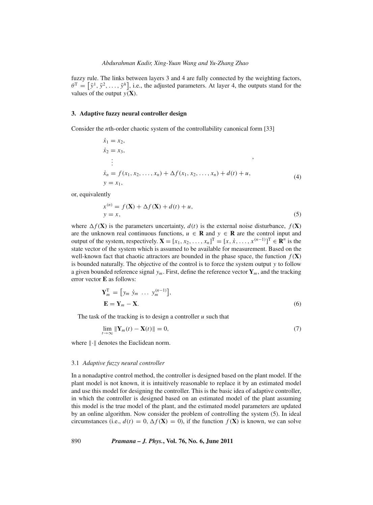fuzzy rule. The links between layers 3 and 4 are fully connected by the weighting factors,  $\theta^T = [\bar{y}^1, \bar{y}^2, \dots, \bar{y}^h]$ , i.e., the adjusted parameters. At layer 4, the outputs stand for the values of the output  $y(\mathbf{X})$ .

#### **3. Adaptive fuzzy neural controller design**

Consider the *n*th-order chaotic system of the controllability canonical form [33]

$$
\begin{aligned}\n\dot{x}_1 &= x_2, \\
\dot{x}_2 &= x_3, \\
\vdots \\
\dot{x}_n &= f(x_1, x_2, \dots, x_n) + \Delta f(x_1, x_2, \dots, x_n) + d(t) + u, \\
y &= x_1,\n\end{aligned}
$$
\n(4)

or, equivalently

$$
x^{(n)} = f(\mathbf{X}) + \Delta f(\mathbf{X}) + d(t) + u,
$$
  
\n
$$
y = x,
$$
\n(5)

where  $\Delta f(\mathbf{X})$  is the parameters uncertainty,  $d(t)$  is the external noise disturbance,  $f(\mathbf{X})$ are the unknown real continuous functions,  $u \in \mathbf{R}$  and  $y \in \mathbf{R}$  are the control input and output of the system, respectively.  $\mathbf{X} = [x_1, x_2, \dots, x_n]^T = [x, \dot{x}, \dots, x^{(n-1)}]^T \in \mathbb{R}^n$  is the state vector of the system which is assumed to be available for measurement. Based on the well-known fact that chaotic attractors are bounded in the phase space, the function  $f(\mathbf{X})$ is bounded naturally. The objective of the control is to force the system output *y* to follow a given bounded reference signal  $y_m$ . First, define the reference vector  $\mathbf{Y}_m$ , and the tracking error vector **E** as follows:

$$
\mathbf{Y}_m^{\mathrm{T}} = [y_m \dot{y}_m \dots y_m^{(n-1)}],
$$
  
\n
$$
\mathbf{E} = \mathbf{Y}_m - \mathbf{X}.
$$
 (6)

The task of the tracking is to design a controller *u* such that

$$
\lim_{t \to \infty} \|\mathbf{Y}_m(t) - \mathbf{X}(t)\| = 0,\tag{7}
$$

where  $\lVert \cdot \rVert$  denotes the Euclidean norm.

#### 3.1 *Adaptive fuzzy neural controller*

In a nonadaptive control method, the controller is designed based on the plant model. If the plant model is not known, it is intuitively reasonable to replace it by an estimated model and use this model for designing the controller. This is the basic idea of adaptive controller, in which the controller is designed based on an estimated model of the plant assuming this model is the true model of the plant, and the estimated model parameters are updated by an online algorithm. Now consider the problem of controlling the system (5). In ideal circumstances (i.e.,  $d(t) = 0$ ,  $\Delta f(\mathbf{X}) = 0$ ), if the function  $f(\mathbf{X})$  is known, we can solve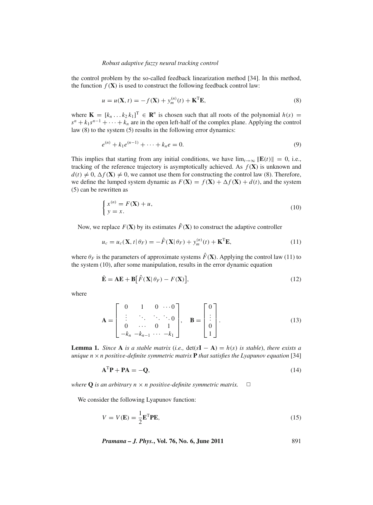the control problem by the so-called feedback linearization method [34]. In this method, the function  $f(\mathbf{X})$  is used to construct the following feedback control law:

$$
u = u(\mathbf{X}, t) = -f(\mathbf{X}) + y_m^{(n)}(t) + \mathbf{K}^{\mathrm{T}} \mathbf{E},
$$
\n(8)

where  $\mathbf{K} = [k_n \dots k_2 k_1]^T \in \mathbf{R}^n$  is chosen such that all roots of the polynomial  $h(s) =$  $s^{n} + k_{1}s^{n-1} + \cdots + k_{n}$  are in the open left-half of the complex plane. Applying the control law (8) to the system (5) results in the following error dynamics:

$$
e^{(n)} + k_1 e^{(n-1)} + \dots + k_n e = 0.
$$
 (9)

This implies that starting from any initial conditions, we have  $\lim_{t\to\infty} ||\mathbf{E}(t)|| = 0$ , i.e., tracking of the reference trajectory is asymptotically achieved. As  $f(\mathbf{X})$  is unknown and  $d(t) \neq 0$ ,  $\Delta f(\mathbf{X}) \neq 0$ , we cannot use them for constructing the control law (8). Therefore, we define the lumped system dynamic as  $F(\mathbf{X}) = f(\mathbf{X}) + \Delta f(\mathbf{X}) + d(t)$ , and the system (5) can be rewritten as

$$
\begin{cases} x^{(n)} = F(\mathbf{X}) + u, \\ y = x. \end{cases}
$$
 (10)

Now, we replace  $F(\mathbf{X})$  by its estimates  $\hat{F}(\mathbf{X})$  to construct the adaptive controller

$$
u_c = u_c(\mathbf{X}, t | \theta_F) = -\hat{F}(\mathbf{X} | \theta_F) + y_m^{(n)}(t) + \mathbf{K}^{\mathrm{T}} \mathbf{E},
$$
\n(11)

where  $\theta_F$  is the parameters of approximate systems  $\hat{F}(\mathbf{X})$ . Applying the control law (11) to the system (10), after some manipulation, results in the error dynamic equation

$$
\dot{\mathbf{E}} = \mathbf{A}\mathbf{E} + \mathbf{B} [\hat{F}(\mathbf{X}|\theta_F) - F(\mathbf{X})],
$$
\n(12)

where

$$
\mathbf{A} = \begin{bmatrix} 0 & 1 & 0 & \cdots & 0 \\ \vdots & \ddots & \ddots & \ddots & \ddots & 0 \\ 0 & \cdots & 0 & 1 \\ -k_n & -k_{n-1} & \cdots & -k_1 \end{bmatrix}, \quad \mathbf{B} = \begin{bmatrix} 0 \\ \vdots \\ 0 \\ 1 \end{bmatrix}.
$$
 (13)

**Lemma 1.** *Since* **A** *is a stable matrix* (*i.e.*,  $det(s\mathbf{I} - \mathbf{A}) = h(s)$  *is stable*), *there exists a unique n* ×*n positi*v*e-definite symmetric matrix* **P** *that satisfies the Lyapunov equation* [34]

$$
\mathbf{A}^{\mathrm{T}}\mathbf{P} + \mathbf{P}\mathbf{A} = -\mathbf{Q},\tag{14}
$$

*where* **Q** *is an arbitrary*  $n \times n$  *positive-definite symmetric matrix.*  $\square$ 

We consider the following Lyapunov function:

$$
V = V(\mathbf{E}) = \frac{1}{2} \mathbf{E}^{\mathrm{T}} \mathbf{P} \mathbf{E},\tag{15}
$$

*Pramana – J. Phys.***, Vol. 76, No. 6, June 2011** 891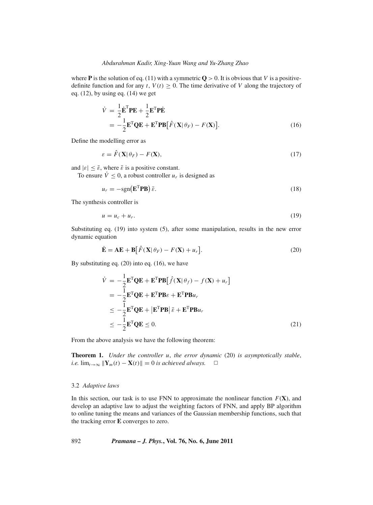where **P** is the solution of eq. (11) with a symmetric  $Q > 0$ . It is obvious that *V* is a positivedefinite function and for any  $t$ ,  $V(t) \geq 0$ . The time derivative of *V* along the trajectory of eq.  $(12)$ , by using eq.  $(14)$  we get

$$
\dot{V} = \frac{1}{2} \dot{\mathbf{E}}^{\mathrm{T}} \mathbf{P} \mathbf{E} + \frac{1}{2} \mathbf{E}^{\mathrm{T}} \mathbf{P} \dot{\mathbf{E}}
$$
  
=  $-\frac{1}{2} \mathbf{E}^{\mathrm{T}} \mathbf{Q} \mathbf{E} + \mathbf{E}^{\mathrm{T}} \mathbf{P} \mathbf{B} [\hat{F}(\mathbf{X} | \theta_F) - F(\mathbf{X})].$  (16)

Define the modelling error as

$$
\varepsilon = \hat{F}(\mathbf{X}|\theta_F) - F(\mathbf{X}),\tag{17}
$$

and  $|\varepsilon| \leq \bar{\varepsilon}$ , where  $\bar{\varepsilon}$  is a positive constant.

To ensure  $\dot{V} \leq 0$ , a robust controller  $u_r$  is designed as

$$
u_r = -\text{sgn}(\mathbf{E}^T \mathbf{P} \mathbf{B}) \,\bar{\varepsilon}.\tag{18}
$$

The synthesis controller is

$$
u = u_c + u_r. \tag{19}
$$

Substituting eq. (19) into system (5), after some manipulation, results in the new error dynamic equation

$$
\dot{\mathbf{E}} = \mathbf{A}\mathbf{E} + \mathbf{B} \big[ \hat{F}(\mathbf{X} | \theta_F) - F(\mathbf{X}) + u_r \big]. \tag{20}
$$

By substituting eq. (20) into eq. (16), we have

$$
\dot{V} = -\frac{1}{2} \mathbf{E}^{\mathrm{T}} \mathbf{Q} \mathbf{E} + \mathbf{E}^{\mathrm{T}} \mathbf{P} \mathbf{B} [\hat{f}(\mathbf{X} | \theta_{f}) - f(\mathbf{X}) + u_{r}] \n= -\frac{1}{2} \mathbf{E}^{\mathrm{T}} \mathbf{Q} \mathbf{E} + \mathbf{E}^{\mathrm{T}} \mathbf{P} \mathbf{B} \varepsilon + \mathbf{E}^{\mathrm{T}} \mathbf{P} \mathbf{B} u_{r} \n\le -\frac{1}{2} \mathbf{E}^{\mathrm{T}} \mathbf{Q} \mathbf{E} + |\mathbf{E}^{\mathrm{T}} \mathbf{P} \mathbf{B}| \bar{\varepsilon} + \mathbf{E}^{\mathrm{T}} \mathbf{P} \mathbf{B} u_{r} \n\le -\frac{1}{2} \mathbf{E}^{\mathrm{T}} \mathbf{Q} \mathbf{E} \le 0.
$$
\n(21)

From the above analysis we have the following theorem:

**Theorem 1.** *Under the controller u*, *the error dynamic* (20) *is asymptotically stable*, *i.e.*  $\lim_{t\to\infty}$   $||\mathbf{Y}_m(t) - \mathbf{X}(t)|| = 0$  *is achieved always.*  $□$ 

## 3.2 *Adapti*v*e laws*

In this section, our task is to use FNN to approximate the nonlinear function  $F(\mathbf{X})$ , and develop an adaptive law to adjust the weighting factors of FNN, and apply BP algorithm to online tuning the means and variances of the Gaussian membership functions, such that the tracking error **E** converges to zero.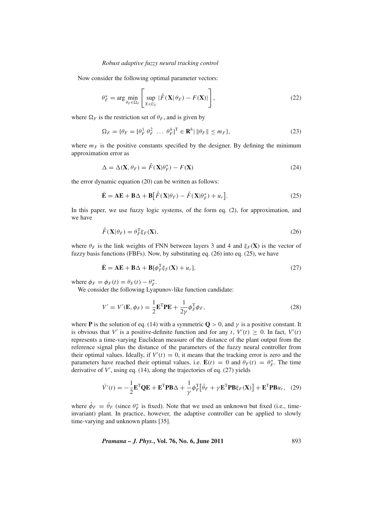Now consider the following optimal parameter vectors:

$$
\theta_F^* = \arg \min_{\theta_F \in \Omega_F} \left[ \sup_{X \in U_C} |\hat{F}(\mathbf{X}|\theta_F) - F(\mathbf{X})| \right],\tag{22}
$$

where  $\Omega_F$  is the restriction set of  $\theta_F$ , and is given by

$$
\Omega_F = \{ \theta_F = [\theta_F^1 \ \theta_F^2 \ \dots \ \theta_F^h]^T \in \mathbf{R}^h \mid \|\theta_F\| \le m_F \},\tag{23}
$$

where  $m_F$  is the positive constants specified by the designer. By defining the minimum approximation error as

$$
\Delta = \Delta(\mathbf{X}, \theta_F) = \hat{F}(\mathbf{X}|\theta_F^*) - F(\mathbf{X})
$$
\n(24)

the error dynamic equation (20) can be written as follows:

$$
\dot{\mathbf{E}} = \mathbf{A}\mathbf{E} + \mathbf{B}\Delta + \mathbf{B} \big[ \hat{F}(\mathbf{X}|\theta_F) - \hat{F}(\mathbf{X}|\theta_F^*) + u_r \big]. \tag{25}
$$

In this paper, we use fuzzy logic systems, of the form eq. (2), for approximation, and we have

$$
\hat{F}(\mathbf{X}|\theta_F) = \theta_F^{\mathrm{T}} \xi_F(\mathbf{X}),\tag{26}
$$

where  $\theta_F$  is the link weights of FNN between layers 3 and 4 and  $\xi_F(\mathbf{X})$  is the vector of fuzzy basis functions (FBFs). Now, by substituting eq. (26) into eq. (25), we have

$$
\dot{\mathbf{E}} = \mathbf{A}\mathbf{E} + \mathbf{B}\Delta + \mathbf{B}[\phi_F^{\mathrm{T}}\xi_F(\mathbf{X}) + u_r],\tag{27}
$$

where  $\phi_F = \phi_F(t) = \theta_F(t) - \theta_F^*$ .

We consider the following Lyapunov-like function candidate:

$$
V' = V'(\mathbf{E}, \phi_F) = \frac{1}{2} \mathbf{E}^{\mathrm{T}} \mathbf{P} \mathbf{E} + \frac{1}{2\gamma} \phi_F^{\mathrm{T}} \phi_F,
$$
\n(28)

where **P** is the solution of eq. (14) with a symmetric  $\mathbf{Q} > 0$ , and  $\gamma$  is a positive constant. It is obvious that *V'* is a positive-definite function and for any *t*,  $V'(t) \ge 0$ . In fact,  $V'(t)$ represents a time-varying Euclidean measure of the distance of the plant output from the reference signal plus the distance of the parameters of the fuzzy neural controller from their optimal values. Ideally, if  $V'(t) = 0$ , it means that the tracking error is zero and the parameters have reached their optimal values, i.e.  $\mathbf{E}(t) = 0$  and  $\theta_F(t) = \theta_F^*$ . The time derivative of V', using eq. (14), along the trajectories of eq. (27) yields

$$
\dot{V}'(t) = -\frac{1}{2} \mathbf{E}^{\mathrm{T}} \mathbf{Q} \mathbf{E} + \mathbf{E}^{\mathrm{T}} \mathbf{P} \mathbf{B} \Delta + \frac{1}{\gamma} \phi_F^{\mathrm{T}} \left[ \dot{\theta}_F + \gamma \mathbf{E}^{\mathrm{T}} \mathbf{P} \mathbf{B} \xi_F(\mathbf{X}) \right] + \mathbf{E}^{\mathrm{T}} \mathbf{P} \mathbf{B} u_r, \quad (29)
$$

where  $\dot{\phi}_F = \dot{\theta}_F$  (since  $\theta_F^*$  is fixed). Note that we used an unknown but fixed (i.e., timeinvariant) plant. In practice, however, the adaptive controller can be applied to slowly time-varying and unknown plants [35].

*Pramana – J. Phys.***, Vol. 76, No. 6, June 2011** 893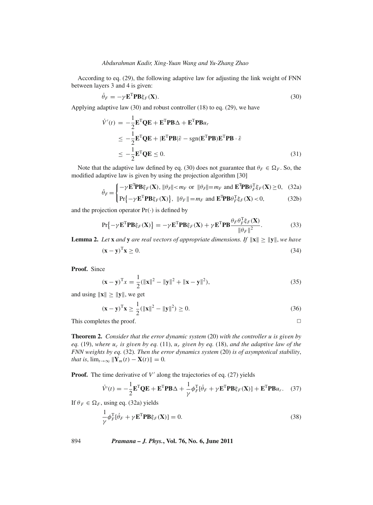According to eq. (29), the following adaptive law for adjusting the link weight of FNN between layers 3 and 4 is given:

$$
\dot{\theta}_F = -\gamma \mathbf{E}^{\mathrm{T}} \mathbf{P} \mathbf{B} \xi_F(\mathbf{X}).\tag{30}
$$

Applying adaptive law (30) and robust controller (18) to eq. (29), we have

$$
\dot{V}'(t) = -\frac{1}{2} \mathbf{E}^{\mathrm{T}} \mathbf{Q} \mathbf{E} + \mathbf{E}^{\mathrm{T}} \mathbf{P} \mathbf{B} \Delta + \mathbf{E}^{\mathrm{T}} \mathbf{P} \mathbf{B} u_r
$$
\n
$$
\leq -\frac{1}{2} \mathbf{E}^{\mathrm{T}} \mathbf{Q} \mathbf{E} + |\mathbf{E}^{\mathrm{T}} \mathbf{P} \mathbf{B}| \bar{\varepsilon} - \text{sgn}(\mathbf{E}^{\mathrm{T}} \mathbf{P} \mathbf{B}) \mathbf{E}^{\mathrm{T}} \mathbf{P} \mathbf{B} \cdot \bar{\varepsilon}
$$
\n
$$
\leq -\frac{1}{2} \mathbf{E}^{\mathrm{T}} \mathbf{Q} \mathbf{E} \leq 0. \tag{31}
$$

Note that the adaptive law defined by eq. (30) does not guarantee that  $\theta_F \in \Omega_F$ . So, the modified adaptive law is given by using the projection algorithm [30]

$$
\dot{\theta}_F = \begin{cases}\n-\gamma \mathbf{E}^{\mathrm{T}} \mathbf{P} \mathbf{B} \xi_F(\mathbf{X}), \|\theta_F\| < m_F \text{ or } \|\theta_F\| = m_F \text{ and } \mathbf{E}^{\mathrm{T}} \mathbf{P} \mathbf{B} \theta_F^{\mathrm{T}} \xi_F(\mathbf{X}) \ge 0, \quad (32a) \\
\mathbf{E} \left[ \mathbf{E} \mathbf{P} \mathbf{P} \mathbf{P} \xi_F(\mathbf{X}) \right] \|\mathbf{P} \mathbf{P} \mathbf{P} \mathbf{P} \mathbf{P} \mathbf{P} \mathbf{P} \mathbf{P} \mathbf{P} \mathbf{P} \mathbf{P} \mathbf{P} \mathbf{P} \mathbf{P} \mathbf{P} \mathbf{P} \mathbf{P} \mathbf{P} \mathbf{P} \mathbf{P} \mathbf{P} \mathbf{P} \mathbf{P} \mathbf{P} \mathbf{P} \mathbf{P} \mathbf{P} \mathbf{P} \mathbf{P} \mathbf{P} \mathbf{P} \mathbf{P} \mathbf{P} \mathbf{P} \mathbf{P} \mathbf{P} \mathbf{P} \mathbf{P} \mathbf{P} \mathbf{P} \mathbf{P} \mathbf{P} \mathbf{P} \mathbf{P} \mathbf{P} \mathbf{P} \mathbf{P} \mathbf{P} \mathbf{P} \mathbf{P} \mathbf{P} \mathbf{P} \mathbf{P} \mathbf{P} \mathbf{P} \mathbf{P} \mathbf{P} \mathbf{P} \mathbf{P} \mathbf{P} \mathbf{P} \mathbf{P} \mathbf{P} \mathbf{P} \mathbf{P} \mathbf{P} \mathbf{P} \mathbf{P} \mathbf{P} \mathbf{P} \mathbf{P} \mathbf{P} \mathbf{P} \mathbf{P} \mathbf{P} \mathbf{P} \mathbf{P} \mathbf{P} \mathbf{P} \mathbf{P} \mathbf{P} \mathbf{P} \mathbf{P} \mathbf{P} \mathbf{P} \mathbf{P} \mathbf{P} \mathbf{P} \mathbf{P} \mathbf{P} \mathbf{P} \mathbf{P} \mathbf{P} \mathbf{P} \mathbf{P} \mathbf{P} \mathbf{P} \mathbf{
$$

$$
\Pr\left\{-\gamma \mathbf{E}^{\mathrm{T}} \mathbf{P} \mathbf{B} \xi_F(\mathbf{X})\right\}, \ \|\theta_F\| = m_F \text{ and } \mathbf{E}^{\mathrm{T}} \mathbf{P} \mathbf{B} \theta_F^{\mathrm{T}} \xi_F(\mathbf{X}) < 0,\tag{32b}
$$

and the projection operator  $Pr(\cdot)$  is defined by

$$
\Pr\{-\gamma \mathbf{E}^{\mathrm{T}} \mathbf{P} \mathbf{B} \xi_F(\mathbf{X})\} = -\gamma \mathbf{E}^{\mathrm{T}} \mathbf{P} \mathbf{B} \xi_F(\mathbf{X}) + \gamma \mathbf{E}^{\mathrm{T}} \mathbf{P} \mathbf{B} \frac{\theta_F \theta_F^{\mathrm{T}} \xi_F(\mathbf{X})}{\|\theta_F\|^2}.
$$
 (33)

**Lemma 2.** Let **x** and **y** are real vectors of appropriate dimensions. If  $\|\mathbf{x}\| \geq \|\mathbf{y}\|$ , we have

$$
(\mathbf{x} - \mathbf{y})^{\mathrm{T}} \mathbf{x} \ge 0. \tag{34}
$$

**Proof.** Since

$$
(\mathbf{x} - \mathbf{y})^{\mathrm{T}} x = \frac{1}{2} (\|\mathbf{x}\|^2 - \|\mathbf{y}\|^2 + \|\mathbf{x} - \mathbf{y}\|^2),
$$
 (35)

and using  $\|\mathbf{x}\| \geq \|\mathbf{y}\|$ , we get

$$
(\mathbf{x} - \mathbf{y})^{\mathrm{T}} \mathbf{x} \ge \frac{1}{2} (\|\mathbf{x}\|^2 - \|\mathbf{y}\|^2) \ge 0.
$$
 (36)

This completes the proof.  $\Box$ 

**Theorem 2.** *Consider that the error dynamic system* (20) *with the controller u is gi*v*en by eq.* (19), where  $u_c$  *is given by eq.* (11),  $u_r$  *given by eq.* (18), *and the adaptive law of the FNN weights by eq.* (32)*. Then the error dynamics system* (20) *is of asymptotical stability*, *that is*,  $\lim_{t \to \infty} \|\mathbf{Y}_m(t) - \mathbf{X}(t)\| = 0.$ 

**Proof.** The time derivative of *V'* along the trajectories of eq. (27) yields

$$
\dot{V}'(t) = -\frac{1}{2} \mathbf{E}^{\mathrm{T}} \mathbf{Q} \mathbf{E} + \mathbf{E}^{\mathrm{T}} \mathbf{P} \mathbf{B} \Delta + \frac{1}{\gamma} \phi_F^{\mathrm{T}} [\dot{\theta}_F + \gamma \mathbf{E}^{\mathrm{T}} \mathbf{P} \mathbf{B} \xi_F(\mathbf{X})] + \mathbf{E}^{\mathrm{T}} \mathbf{P} \mathbf{B} u_r. \quad (37)
$$

If  $\theta_F \in \Omega_F$ , using eq. (32a) yields

$$
\frac{1}{\gamma} \phi_F^{\mathrm{T}}[\dot{\theta}_F + \gamma \mathbf{E}^{\mathrm{T}} \mathbf{P} \mathbf{B} \xi_F(\mathbf{X})] = 0.
$$
\n(38)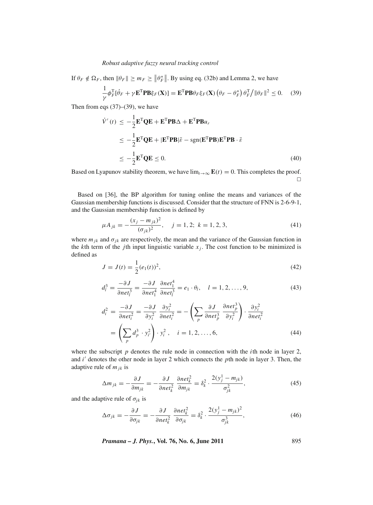If  $\theta_F \notin \Omega_F$ , then  $\|\theta_F\| \ge m_F \ge \|\theta_F^*\|$ . By using eq. (32b) and Lemma 2, we have

$$
\frac{1}{\gamma} \phi_F^{\mathrm{T}}[\dot{\theta}_F + \gamma \mathbf{E}^{\mathrm{T}} \mathbf{P} \mathbf{B} \xi_F(\mathbf{X})] = \mathbf{E}^{\mathrm{T}} \mathbf{P} \mathbf{B} \theta_F \xi_F(\mathbf{X}) \left( \theta_F - \theta_F^* \right) \theta_F^{\mathrm{T}} / \|\theta_F\|^2 \le 0. \tag{39}
$$

Then from eqs  $(37)$ – $(39)$ , we have

$$
\dot{V}'(t) \le -\frac{1}{2} \mathbf{E}^{\mathrm{T}} \mathbf{Q} \mathbf{E} + \mathbf{E}^{\mathrm{T}} \mathbf{P} \mathbf{B} \Delta + \mathbf{E}^{\mathrm{T}} \mathbf{P} \mathbf{B} u_r
$$
\n
$$
\le -\frac{1}{2} \mathbf{E}^{\mathrm{T}} \mathbf{Q} \mathbf{E} + |\mathbf{E}^{\mathrm{T}} \mathbf{P} \mathbf{B}| \bar{\varepsilon} - \text{sgn}(\mathbf{E}^{\mathrm{T}} \mathbf{P} \mathbf{B}) \mathbf{E}^{\mathrm{T}} \mathbf{P} \mathbf{B} \cdot \bar{\varepsilon}
$$
\n
$$
\le -\frac{1}{2} \mathbf{E}^{\mathrm{T}} \mathbf{Q} \mathbf{E} \le 0. \tag{40}
$$

Based on Lyapunov stability theorem, we have  $\lim_{t\to\infty}$  **E**(*t*) = 0. This completes the proof.  $\Box$ 

Based on [36], the BP algorithm for tuning online the means and variances of the Gaussian membership functions is discussed. Consider that the structure of FNN is 2-6-9-1, and the Gaussian membership function is defined by

$$
\mu A_{jk} = -\frac{(x_j - m_{jk})^2}{(\sigma_{jk})^2}, \quad j = 1, 2; \ k = 1, 2, 3,
$$
\n(41)

where  $m_{jk}$  and  $\sigma_{jk}$  are respectively, the mean and the variance of the Gaussian function in the *k*th term of the *j*th input linguistic variable  $x_j$ . The cost function to be minimized is defined as

$$
J = J(t) = \frac{1}{2}(e_1(t))^2,
$$
\n(42)

$$
d_l^3 = \frac{-\partial J}{\partial net_l^3} = \frac{-\partial J}{\partial net_l^4} \frac{\partial net_l^4}{\partial net_l^3} = e_l \cdot \theta_l, \quad l = 1, 2, \dots, 9,
$$
\n
$$
(43)
$$

$$
d_i^2 = \frac{-\partial J}{\partial net_i^2} = \frac{-\partial J}{\partial y_i^2} \frac{\partial y_i^2}{\partial net_i^2} = -\left(\sum_p \frac{\partial J}{\partial net_p^3} \frac{\partial net_p^3}{\partial y_i^2}\right) \cdot \frac{\partial y_i^2}{\partial net_i^2}
$$
  
=  $\left(\sum_p d_p^3 \cdot y_{i'}^2\right) \cdot y_i^2$ ,  $i = 1, 2, ..., 6$ , (44)

where the subscript  $p$  denotes the rule node in connection with the *i*th node in layer 2, and *i*<sup>'</sup> denotes the other node in layer 2 which connects the *p*th node in layer 3. Then, the adaptive rule of  $m_{jk}$  is

$$
\Delta m_{jk} = -\frac{\partial J}{\partial m_{jk}} = -\frac{\partial J}{\partial net_k^2} \frac{\partial net_k^2}{\partial m_{jk}} = \delta_k^2 \cdot \frac{2(y_j^1 - m_{jk})}{\sigma_{jk}^2},\tag{45}
$$

and the adaptive rule of  $\sigma_{jk}$  is

$$
\Delta \sigma_{jk} = -\frac{\partial J}{\partial \sigma_{jk}} = -\frac{\partial J}{\partial net_k^2} \frac{\partial net_k^2}{\partial \sigma_{jk}} = \delta_k^2 \cdot \frac{2(y_j^1 - m_{jk})^2}{\sigma_{jk}^3},\tag{46}
$$

*Pramana – J. Phys.***, Vol. 76, No. 6, June 2011** 895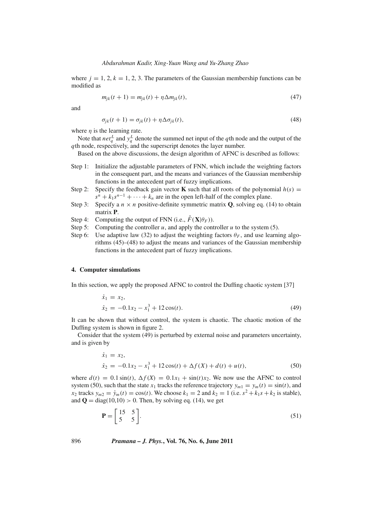where  $j = 1, 2, k = 1, 2, 3$ . The parameters of the Gaussian membership functions can be modified as

$$
m_{jk}(t+1) = m_{jk}(t) + \eta \Delta m_{jk}(t),
$$
\n(47)

and

$$
\sigma_{jk}(t+1) = \sigma_{jk}(t) + \eta \Delta \sigma_{jk}(t),\tag{48}
$$

where  $\eta$  is the learning rate.

Note that  $net_q^L$  and  $y_q^L$  denote the summed net input of the *q*th node and the output of the *q*th node, respectively, and the superscript denotes the layer number.

Based on the above discussions, the design algorithm of AFNC is described as follows:

- Step 1: Initialize the adjustable parameters of FNN, which include the weighting factors in the consequent part, and the means and variances of the Gaussian membership functions in the antecedent part of fuzzy implications.
- Step 2: Specify the feedback gain vector **K** such that all roots of the polynomial  $h(s)$  =  $s^{n} + k_{1}s^{n-1} + \cdots + k_{n}$  are in the open left-half of the complex plane.
- Step 3: Specify a  $n \times n$  positive-definite symmetric matrix **Q**, solving eq. (14) to obtain matrix **P**.
- Step 4: Computing the output of FNN (i.e.,  $\hat{F}(\mathbf{X}|\theta_F)$ ).
- Step 5: Computing the controller  $u$ , and apply the controller  $u$  to the system (5).
- Step 6: Use adaptive law (32) to adjust the weighting factors  $\theta_F$ , and use learning algorithms (45)–(48) to adjust the means and variances of the Gaussian membership functions in the antecedent part of fuzzy implications.

## **4. Computer simulations**

In this section, we apply the proposed AFNC to control the Duffing chaotic system [37]

$$
\begin{aligned} \dot{x}_1 &= x_2, \\ \dot{x}_2 &= -0.1x_2 - x_1^3 + 12\cos(t). \end{aligned} \tag{49}
$$

It can be shown that without control, the system is chaotic. The chaotic motion of the Duffing system is shown in figure 2.

Consider that the system (49) is perturbed by external noise and parameters uncertainty, and is given by

$$
\dot{x}_1 = x_2,
$$
  
\n
$$
\dot{x}_2 = -0.1x_2 - x_1^3 + 12\cos(t) + \Delta f(X) + d(t) + u(t),
$$
\n(50)

where  $d(t) = 0.1 \sin(t)$ ,  $\Delta f(X) = 0.1x_1 + \sin(t)x_2$ . We now use the AFNC to control system (50), such that the state  $x_1$  tracks the reference trajectory  $y_{m1} = y_m(t) = \sin(t)$ , and *x*<sub>2</sub> tracks  $y_{m2} = \dot{y}_m(t) = \cos(t)$ . We choose  $k_1 = 2$  and  $k_2 = 1$  (i.e.  $s^2 + k_1 s + k_2$  is stable), and  $\mathbf{Q} = \text{diag}(10, 10) > 0$ . Then, by solving eq. (14), we get

$$
\mathbf{P} = \begin{bmatrix} 15 & 5 \\ 5 & 5 \end{bmatrix} . \tag{51}
$$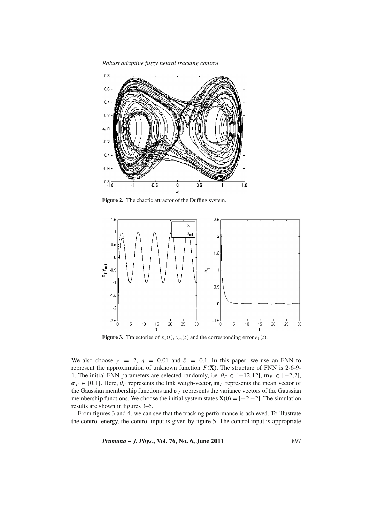*Robust adapti*v*e fuzzy neural tracking control*



**Figure 2.** The chaotic attractor of the Duffing system.



**Figure 3.** Trajectories of  $x_1(t)$ ,  $y_m(t)$  and the corresponding error  $e_1(t)$ .

We also choose  $\gamma = 2$ ,  $\eta = 0.01$  and  $\bar{\varepsilon} = 0.1$ . In this paper, we use an FNN to represent the approximation of unknown function  $F(X)$ . The structure of FNN is 2-6-9-1. The initial FNN parameters are selected randomly, i.e.  $\theta_F \in [-12, 12]$ ,  $\mathbf{m}_F \in [-2, 2]$ ,  $\sigma_F \in [0,1]$ . Here,  $\theta_F$  represents the link weigh-vector,  $\mathbf{m}_F$  represents the mean vector of the Gaussian membership functions and  $\sigma_F$  represents the variance vectors of the Gaussian membership functions. We choose the initial system states  $X(0) = [-2 - 2]$ . The simulation results are shown in figures 3–5.

From figures 3 and 4, we can see that the tracking performance is achieved. To illustrate the control energy, the control input is given by figure 5. The control input is appropriate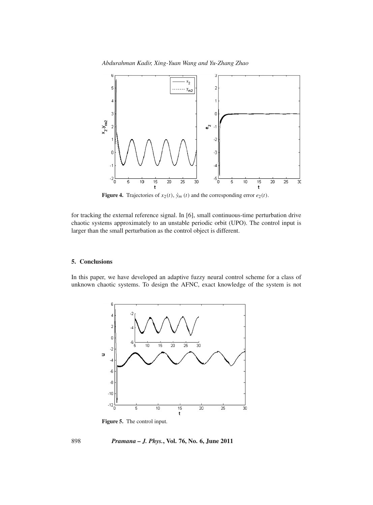*Abdurahman Kadir, Xing-Yuan Wang and Yu-Zhang Zhao*



**Figure 4.** Trajectories of  $x_2(t)$ ,  $\dot{y}_m(t)$  and the corresponding error  $e_2(t)$ .

for tracking the external reference signal. In [6], small continuous-time perturbation drive chaotic systems approximately to an unstable periodic orbit (UPO). The control input is larger than the small perturbation as the control object is different.

## **5. Conclusions**

In this paper, we have developed an adaptive fuzzy neural control scheme for a class of unknown chaotic systems. To design the AFNC, exact knowledge of the system is not



**Figure 5.** The control input.

898 *Pramana – J. Phys.***, Vol. 76, No. 6, June 2011**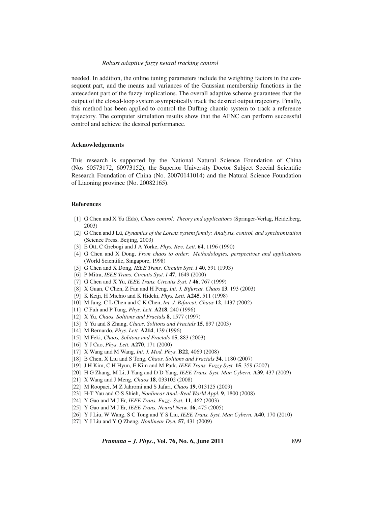needed. In addition, the online tuning parameters include the weighting factors in the consequent part, and the means and variances of the Gaussian membership functions in the antecedent part of the fuzzy implications. The overall adaptive scheme guarantees that the output of the closed-loop system asymptotically track the desired output trajectory. Finally, this method has been applied to control the Duffing chaotic system to track a reference trajectory. The computer simulation results show that the AFNC can perform successful control and achieve the desired performance.

### **Acknowledgements**

This research is supported by the National Natural Science Foundation of China (Nos 60573172, 60973152), the Superior University Doctor Subject Special Scientific Research Foundation of China (No. 20070141014) and the Natural Science Foundation of Liaoning province (No. 20082165).

## **References**

- [1] G Chen and X Yu (Eds), *Chaos control: Theory and applications* (Springer-Verlag, Heidelberg, 2003)
- [2] G Chen and J Lü, *Dynamics of the Lorenz system family: Analysis, control, and synchronization* (Science Press, Beijing, 2003)
- [3] E Ott, C Grebogi and J A Yorke, *Phys. Re*v*. Lett.* **64**, 1196 (1990)
- [4] G Chen and X Dong, *From chaos to order: Methodologies, perspecti*v*es and applications* (World Scientific, Singapore, 1998)
- [5] G Chen and X Dong, *IEEE Trans. Circuits Syst. I* **40**, 591 (1993)
- [6] P Mitra, *IEEE Trans. Circuits Syst. I* **47**, 1649 (2000)
- [7] G Chen and X Yu, *IEEE Trans. Circuits Syst. I* **46**, 767 (1999)
- [8] X Guan, C Chen, Z Fan and H Peng, *Int. J. Bifurcat. Chaos* **13**, 193 (2003)
- [9] K Keiji, H Michio and K Hideki, *Phys. Lett.* **A245**, 511 (1998)
- [10] M Jang, C L Chen and C K Chen, *Int. J. Bifurcat. Chaos* **12**, 1437 (2002)
- [11] C Fuh and P Tung, *Phys. Lett.* **A218**, 240 (1996)
- [12] X Yu, *Chaos, Solitons and Fractals* **8**, 1577 (1997)
- [13] Y Yu and S Zhang, *Chaos, Solitons and Fractals* **15**, 897 (2003)
- [14] M Bernardo, *Phys. Lett.* **A214**, 139 (1996)
- [15] M Feki, *Chaos, Solitons and Fractals* **15**, 883 (2003)
- [16] Y J Cao, *Phys. Lett.* **A270**, 171 (2000)
- [17] X Wang and M Wang, *Int. J. Mod. Phys.* **B22**, 4069 (2008)
- [18] B Chen, X Liu and S Tong, *Chaos, Solitons and Fractals* **34**, 1180 (2007)
- [19] J H Kim, C H Hyun, E Kim and M Park, *IEEE Trans. Fuzzy Syst.* **15**, 359 (2007)
- [20] H G Zhang, M Li, J Yang and D D Yang, *IEEE Trans. Syst. Man Cybern.* **A39**, 437 (2009)
- [21] X Wang and J Meng, *Chaos* **18**, 033102 (2008)
- [22] M Roopaei, M Z Jahromi and S Jafari, *Chaos* **19**, 013125 (2009)
- [23] H-T Yau and C-S Shieh, *Nonlinear Anal.-Real World Appl.* **9**, 1800 (2008)
- [24] Y Gao and M J Er, *IEEE Trans. Fuzzy Syst.* **11**, 462 (2003)
- [25] Y Gao and M J Er, *IEEE Trans. Neural Netw.* **16**, 475 (2005)
- [26] Y J Liu, W Wang, S C Tong and Y S Liu, *IEEE Trans. Syst. Man Cybern.* **A40**, 170 (2010)
- [27] Y J Liu and Y Q Zheng, *Nonlinear Dyn.* **57**, 431 (2009)